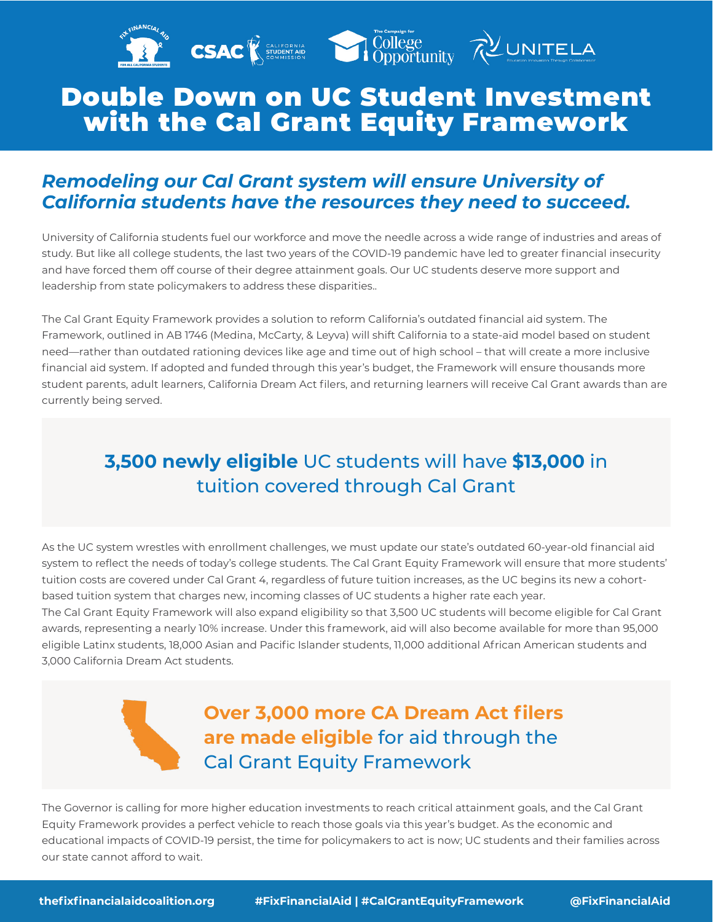

# Double Down on UC Student Investment with the Cal Grant Equity Framework

#### *Remodeling our Cal Grant system will ensure University of California students have the resources they need to succeed.*

University of California students fuel our workforce and move the needle across a wide range of industries and areas of study. But like all college students, the last two years of the COVID-19 pandemic have led to greater financial insecurity and have forced them off course of their degree attainment goals. Our UC students deserve more support and leadership from state policymakers to address these disparities..

The Cal Grant Equity Framework provides a solution to reform California's outdated financial aid system. The Framework, outlined in AB 1746 (Medina, McCarty, & Leyva) will shift California to a state-aid model based on student need—rather than outdated rationing devices like age and time out of high school – that will create a more inclusive financial aid system. If adopted and funded through this year's budget, the Framework will ensure thousands more student parents, adult learners, California Dream Act filers, and returning learners will receive Cal Grant awards than are currently being served.

## **3,500 newly eligible** UC students will have **\$13,000** in tuition covered through Cal Grant

As the UC system wrestles with enrollment challenges, we must update our state's outdated 60-year-old financial aid system to reflect the needs of today's college students. The Cal Grant Equity Framework will ensure that more students' tuition costs are covered under Cal Grant 4, regardless of future tuition increases, as the UC begins its new a cohortbased tuition system that charges new, incoming classes of UC students a higher rate each year.

The Cal Grant Equity Framework will also expand eligibility so that 3,500 UC students will become eligible for Cal Grant awards, representing a nearly 10% increase. Under this framework, aid will also become available for more than 95,000 eligible Latinx students, 18,000 Asian and Pacific Islander students, 11,000 additional African American students and 3,000 California Dream Act students.

### **Over 3,000 more CA Dream Act filers are made eligible** for aid through the Cal Grant Equity Framework

The Governor is calling for more higher education investments to reach critical attainment goals, and the Cal Grant Equity Framework provides a perfect vehicle to reach those goals via this year's budget. As the economic and educational impacts of COVID-19 persist, the time for policymakers to act is now; UC students and their families across our state cannot afford to wait.